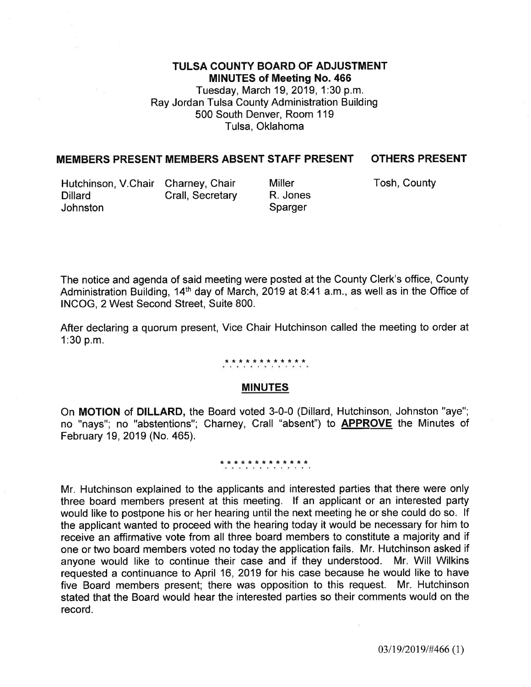## TULSA COUNTY BOARD OF ADJUSTMENT MINUTES of Meeting No. 466 Tuesday, March 19,2019, 1:30 p.m. Ray Jordan Tulsa County Administration Building

500 South Denver, Room 1 19 Tulsa, Oklahoma

# MEMBERS PRESENT MEMBERS ABSENT STAFF PRESENT OTHERS PRESENT

Hutchinson, V.Chair Charney, Chair Miller Miller Tosh, County Dillard Johnston Crall, Secretary

Miller R. Jones **Sparger** 

The notice and agenda of said meeting were posted at the County Clerk's office, County Administration Building, 14<sup>th</sup> day of March, 2019 at 8:41 a.m., as well as in the Office of INCOG, 2 West Second Street, Suite 800.

After declaring a quorum present, Vice Chair Hutchinson called the meeting to order at 1:30 p.m.

\*\*\*frt \*\*\*\*\*\*\*

#### MINUTES

On MOTION of DILLARD, the Board voted 3-0-0 (Dillard, Hutchinson, Johnston "aye"; no "nays"; no "abstentions"; Charney, Crall "absent") to APPROVE the Minutes of February 19,2019 (No. 465).

#### \*\*\*\*\*\*\*\*\*\*\*\*\*

Mr. Hutchinson explained to the applicants and interested parties that there were only three board members present at this meeting. lf an applicant or an interested party would like to postpone his or her hearing until the next meeting he or she could do so. lf the applicant wanted to proceed with the hearing today it would be necessary for him to receive an affirmative vote from all three board members to constitute a majority and if one or two board members voted no today the application fails. Mr. Hutchinson asked if anyone would like to continue their case and if they understood. Mr. Will Wilkins requested a continuance to April 16, 2019 for his case because he would like to have five Board members present; there was opposition to this request. Mr. Hutchinson stated that the Board would hear the interested parties so their comments would on the record.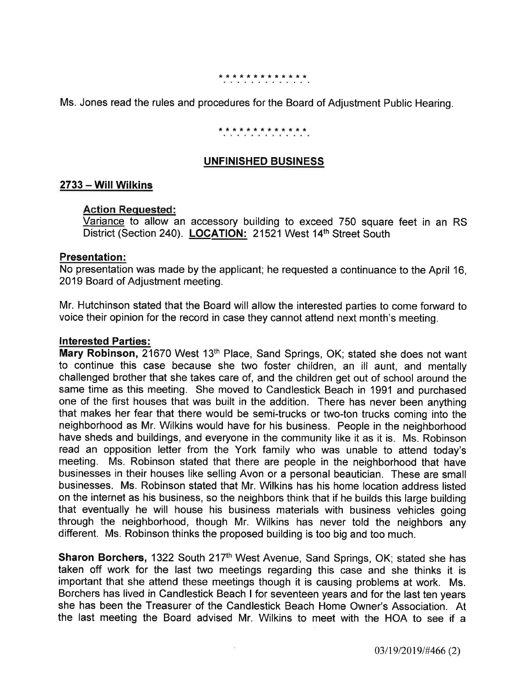### \*\*\*\*\*\*\*\*\*\*\*\*\*

Ms. Jones read the rules and procedures for the Board of Adjustment Public Hearing.

## \*\*\*\*\*\*\*\*\*\*\*\*\*

# UNFINISHED BUSINESS

## <sup>2733</sup>- Will Wilkins

## Action Requested:

Variance to allow an accessory building to exceed 750 square feet in an RS District (Section 240). LOCATION: 21521 West 14<sup>th</sup> Street South

#### Presentation:

No presentation was made by the applicant; he requested a continuance to the April 16, 2019 Board of Adjustment meeting.

Mr. Hutchinson stated that the Board will allow the interested parties to come fonryard to voice their opinion for the record in case they cannot attend next month's meeting.

#### lnterested Parties:

Mary Robinson, 21670 West 13<sup>th</sup> Place, Sand Springs, OK; stated she does not want to continue this case because she two foster children, an ill aunt, and mentally challenged brother that she takes care of, and the children get out of school around the same time as this meeting. She moved to Candlestick Beach in 1991 and purchased one of the first houses that was built in the addition. There has never been anything that makes her fear that there would be semi-trucks or two-ton trucks coming into the neighborhood as Mr. Wilkins would have for his business. People in the neighborhood have sheds and buildings, and everyone in the community like it as it is. Ms. Robinson read an opposition letter from the York family who was unable to attend today's meeting. Ms. Robinson stated that there are people in the neighborhood that have businesses in their houses like selling Avon or a personal beautician. These are small businesses. Ms. Robinson stated that Mr. Wilkins has his home location address listed on the internet as his business, so the neighbors think that if he builds this large building that eventually he will house his business materials with business vehicles going through the neighborhood, though Mr. Wilkins has never told the neighbors any different. Ms. Robinson thinks the proposed building is too big and too much.

Sharon Borchers, 1322 South 217<sup>th</sup> West Avenue, Sand Springs, OK; stated she has taken off work for the last two meetings regarding this case and she thinks it is important that she attend these meetings though it is causing problems at work. Ms. Borchers has lived in Candlestick Beach I for seventeen years and for the last ten years she has been the Treasurer of the Candlestick Beach Home Owner's Association. At the last meeting the Board advised Mr. Wilkins to meet with the HOA to see if <sup>a</sup>

 $\alpha$  (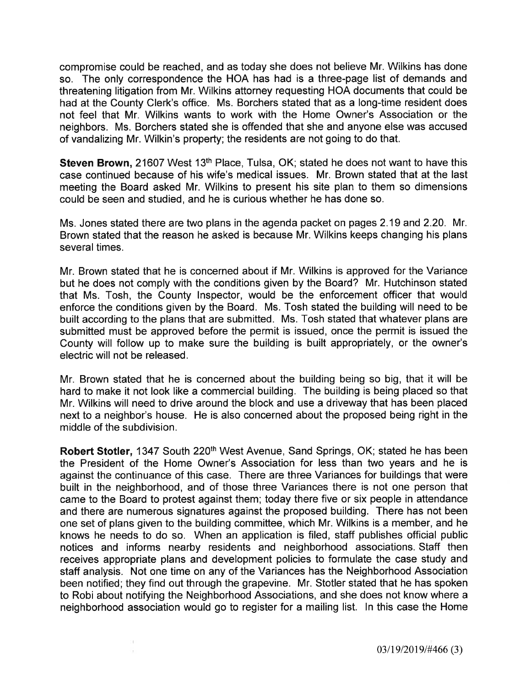compromise could be reached, and as today she does not believe Mr. Wilkins has done so. The only correspondence the HOA has had is a three-page list of demands and threatening litigation from Mr. Wilkins attorney requesting HOA documents that could be had at the County Clerk's office. Ms. Borchers stated that as a long-time resident does not feel that Mr. Wilkins wants to work with the Home Owner's Association or the neighbors. Ms. Borchers stated she is offended that she and anyone else was accused of vandalizing Mr. Wilkin's property; the residents are not going to do that.

Steven Brown, 21607 West 13<sup>th</sup> Place, Tulsa, OK; stated he does not want to have this case continued because of his wife's medical issues. Mr. Brown stated that at the last meeting the Board asked Mr. Wilkins to present his site plan to them so dimensions could be seen and studied, and he is curious whether he has done so.

Ms. Jones stated there are two plans in the agenda packet on pages 2.19 and 2.20. Mr. Brown stated that the reason he asked is because Mr. Wilkins keeps changing his plans several times.

Mr. Brown stated that he is concerned about if Mr. Wilkins is approved for the Variance but he does not comply with the conditions given by the Board? Mr. Hutchinson stated that Ms. Tosh, the County lnspector, would be the enforcement officer that would enforce the conditions given by the Board. Ms. Tosh stated the building will need to be built according to the plans that are submitted. Ms. Tosh stated that whatever plans are submitted must be approved before the permit is issued, once the permit is issued the County will follow up to make sure the building is built appropriately, or the owner's electric will not be released.

Mr. Brown stated that he is concerned about the building being so big, that it will be hard to make it not look like a commercial building. The building is being placed so that Mr. Wilkins will need to drive around the block and use a driveway that has been placed next to a neighbor's house. He is also concerned about the proposed being right in the middle of the subdivision.

Robert Stotler, 1347 South 220<sup>th</sup> West Avenue, Sand Springs, OK; stated he has been the President of the Home Owner's Association for less than two years and he is against the continuance of this case. There are three Variances for buildings that were built in the neighborhood, and of those three Variances there is not one person that came to the Board to protest against them; today there five or six people in attendance and there are numerous signatures against the proposed building. There has not been one set of plans given to the building committee, which Mr. Wilkins is a member, and he knows he needs to do so. When an application is filed, staff publishes official public notices and informs nearby residents and neighborhood associations. Staff then receives appropriate plans and development policies to formulate the case study and staff analysis. Not one time on any of the Variances has the Neighborhood Association been notified; they find out through the grapevine. Mr. Stotler stated that he has spoken to Robi about notifying the Neighborhood Associations, and she does not know where a neighborhood association would go to register for a mailing list. ln this case the Home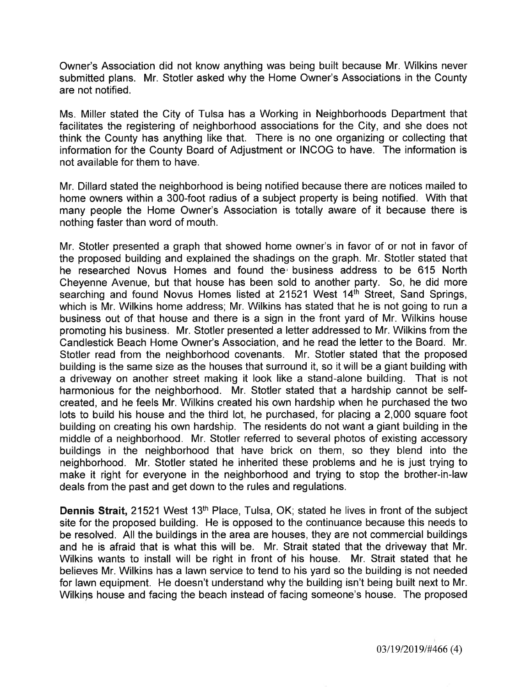Owner's Association did not know anything was being built because Mr. Wilkins never submitted plans. Mr. Stotler asked why the Home Owner's Associations in the County are not notified.

Ms. Miller stated the City of Tulsa has a Working in Neighborhoods Department that facilitates the registering of neighborhood associations for the City, and she does not think the County has anything like that. There is no one organizing or collecting that information for the County Board of Adjustment or INCOG to have. The information is not available for them to have.

Mr. Dillard stated the neighborhood is being notified because there are notices mailed to home owners within a 300-foot radius of a subject property is being notified. With that many people the Home Owner's Association is totally aware of it because there is nothing faster than word of mouth.

Mr. Stotler presented a graph that showed home owner's in favor of or not in favor of the proposed building and explained the shadings on the graph. Mr. Stotler stated that he researched Novus Homes and found the business address to be 615 North Cheyenne Avenue, but that house has been sold to another party. So, he did more searching and found Novus Homes listed at 21521 West 14<sup>th</sup> Street, Sand Springs, which is Mr. Wilkins home address; Mr. Wilkins has stated that he is not going to run a business out of that house and there is a sign in the front yard of Mr. Wilkins house promoting his business. Mr. Stotler presented a letter addressed to Mr. Wilkins from the Candlestick Beach Home Owner's Association, and he read the letter to the Board. Mr. Stotler read from the neighborhood covenants. Mr. Stotler stated that the proposed building is the same size as the houses that surround it, so it will be a giant building with a driveway on another street making it look like a stand-alone building. That is not harmonious for the neighborhood. Mr. Stotler stated that a hardship cannot be selfcreated, and he feels Mr. Wilkins created his own hardship when he purchased the two lots to build his house and the third lot, he purchased, for placing a 2,000 square foot building on creating his own hardship. The residents do not want a giant building in the middle of a neighborhood. Mr. Stotler referred to several photos of existing accessory buildings in the neighborhood that have brick on them, so they blend into the neighborhood. Mr. Stotler stated he inherited these problems and he is just trying to make it right for everyone in the neighborhood and trying to stop the brother-in-law deals from the past and get down to the rules and regulations.

Dennis Strait, 21521 West 13<sup>th</sup> Place, Tulsa, OK; stated he lives in front of the subject site for the proposed building. He is opposed to the continuance because this needs to be resolved. All the buildings in the area are houses, they are not commercial buildings and he is afraid that is what this will be. Mr. Strait stated that the driveway that Mr. Wilkins wants to install will be right in front of his house. Mr. Strait stated that he believes Mr. Wilkins has a lawn service to tend to his yard so the building is not needed for lawn equipment. He doesn't understand why the building isn't being built next to Mr. Wilkins house and facing the beach instead of facing someone's house. The proposed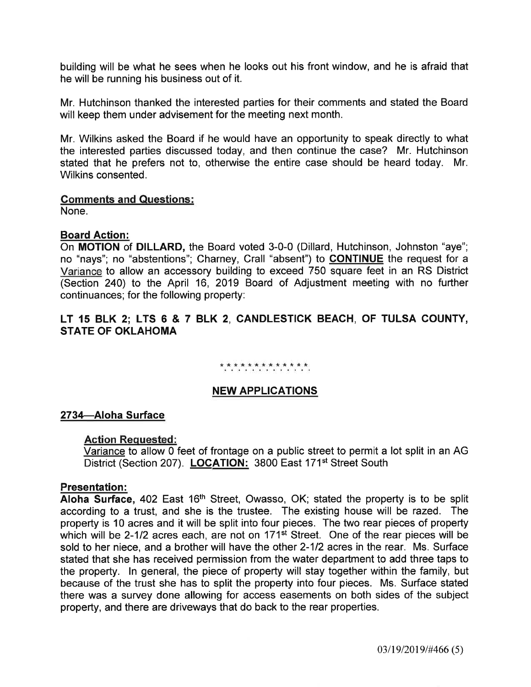building will be what he sees when he looks out his front window, and he is afraid that he will be running his business out of it.

Mr. Hutchinson thanked the interested parties for their comments and stated the Board will keep them under advisement for the meeting next month.

Mr. Wilkins asked the Board if he would have an opportunity to speak directly to what the interested parties discussed today, and then continue the case? Mr. Hutchinson stated that he prefers not to, otherwise the entire case should be heard today. Mr. Wilkins consented.

## Comments and Questions:

None.

## Board Action:

On MOTION of DILLARD, the Board voted 3-0-0 (Dillard, Hutchinson, Johnston "aye"; no "nays"; no "abstentions"; Charney, Crall "absent") to CONTINUE the request for a Variance to allow an accessory building to exceed 750 square feet in an RS District (Section 240) to the April 16, 2019 Board of Adjustment meeting with no further continuances; for the following property:

# LT 15 BLK 2; LTS 6 & 7 BLK 2, CANDLESTICK BEACH, OF TULSA COUNTY, STATE OF OKLAHOMA

## \* \* \* \* \* \* \* \* \* \* \* \* \* \*

## NEW APPLICATIONS

## 2734-Aloha Surface

#### Action Requested:

Variance to allow 0 feet of frontage on a public street to permit a lot split in an AG District (Section 207). LOCATION: 3800 East 171<sup>st</sup> Street South

#### Presentation:

Aloha Surface, 402 East 16<sup>th</sup> Street, Owasso, OK; stated the property is to be split according to a trust, and she is the trustee. The existing house will be razed. The property is 10 acres and it will be split into four pieces. The two rear pieces of property which will be 2-1/2 acres each, are not on 171<sup>st</sup> Street. One of the rear pieces will be sold to her niece, and a brother will have the other 2-1/2 acres in the rear. Ms. Surface stated that she has received permission from the water department to add three taps to the property. In general, the piece of property will stay together within the family, but because of the trust she has to split the property into four pieces. Ms. Surface stated there was a survey done allowing for access easements on both sides of the subject property, and there are driveways that do back to the rear properties.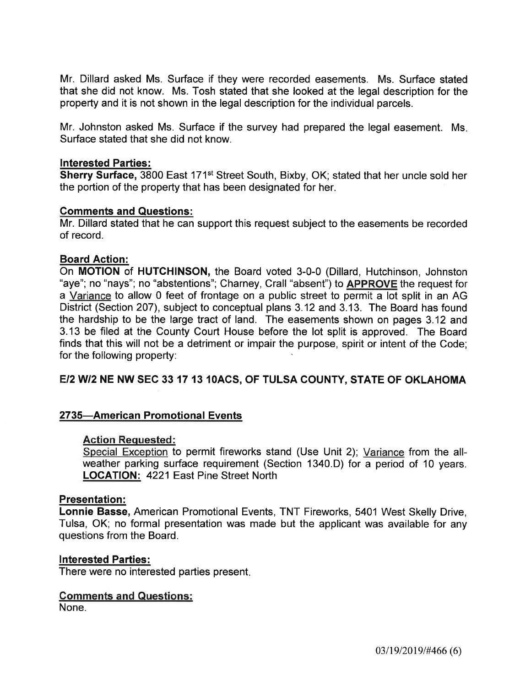Mr. Dillard asked Ms. Surface if they were recorded easements. Ms. Surface stated that she did not know. Ms. Tosh stated that she looked at the legal description for the property and it is not shown in the legal description for the individual parcels.

Mr. Johnston asked Ms. Surface if the survey had prepared the legal easement. Ms Surface stated that she did not know.

### lnterested Parties:

Sherry Surface, 3800 East 171st Street South, Bixby, OK; stated that her uncle sold her the portion of the property that has been designated for her.

## Comments and Questions:

Mr. Dillard stated that he can support this request subject to the easements be recorded of record.

#### Board Action:

On MOTION of HUTCHINSON, the Board voted 3-0-0 (Dillard, Hutchinson, Johnston "aye"; no "nays"; no "abstentions"; Charney, Crall "absent") to **APPROVE** the request for a Variance to allow 0 feet of frontage on a public street to permit a lot split in an AG District (Section 207), subject to conceptual plans 312 and 3.13. The Board has found the hardship to be the large tract of land. The easements shown on pages 3.12 and 3.13 be filed at the County Court House before the lot split is approved. The Board finds that this will not be a detriment or impair the purpose, spirit or intent of the Code; for the following property:

## E/2 W/2 NE NW SEC 33 17 13 10ACS, OF TULSA COUNTY, STATE OF OKLAHOMA

## 2735-American Promotional Events

#### Action Requested:

Special Exception to permit fireworks stand (Use Unit 2); Variance from the allweather parking surface requirement (Section 1340.D) for a period of 10 years. **LOCATION: 4221 East Pine Street North** 

#### Presentation:

Lonnie Basse, American Promotional Events, TNT Fireworks, 5401 West Skelly Drive, Tulsa, OK; no formal presentation was made but the applicant was available for any questions from the Board.

#### lnterested Parties:

There were no interested parties present

## Comments and Questions:

None.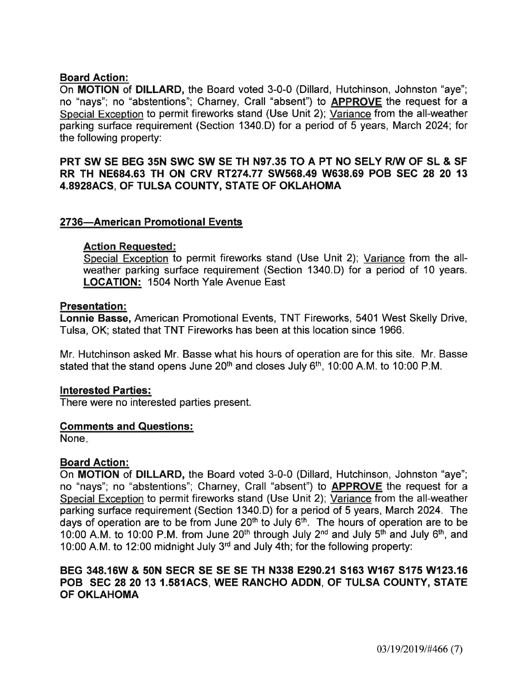# Board Action:

On MOTION of DILLARD, the Board voted 3-0-0 (Dillard, Hutchinson, Johnston "aye"; no "nays"; no "abstentions"; Charney, Crall "absent") to APPROVE the request for a Special Exception to permit fireworks stand (Use Unit 2); Variance from the all-weather parking surface requirement (Section 1340.D) for a period of 5 years, March 2024; for the following property:

PRT SW SE BEG 35N SWC SW SE TH N97.35 TO A PT NO SELY R/W OF SL & SF RR TH NE684.63 TH ON CRV RT274.77 SW568.49 W638.69 POB SEC 28 20 13 4.8928ACS, OF TULSA COUNTY, STATE OF OKLAHOMA

## 2736-American Promotional Events

## Action Requested:

Special Exception to permit fireworks stand (Use Unit 2); Variance from the allweather parking surface requirement (Section 1340.D) for a period of 10 years. LOCATION: 1504 North Yale Avenue East

## Presentation:

Lonnie Basse, American Promotional Events, TNT Fireworks, 5401 West Skelly Drive, Tulsa, OK; stated that TNT Fireworks has been at this location since 1966.

Mr. Hutchinson asked Mr. Basse what his hours of operation are for this site. Mr. Basse stated that the stand opens June 20<sup>th</sup> and closes July 6<sup>th</sup>, 10:00 A.M. to 10:00 P.M.

# lnterested Parties:

There were no interested parties present.

## Gomments and Questions:

None

# Board Action:

On MOTION of DILLARD, the Board voted 3-0-0 (Dillard, Hutchinson, Johnston "aye"; no "nays"; no "abstentions"; Charney, Crall "absent") to **APPROVE** the request for a Special Exception to permit fireworks stand (Use Unit 2); Variance from the all-weather parking surface requirement (Section 1340.D) for a period of 5 years, March 2024. The days of operation are to be from June  $20<sup>th</sup>$  to July  $6<sup>th</sup>$ . The hours of operation are to be 10:00 A.M. to 10:00 P.M. from June 20<sup>th</sup> through July 2<sup>nd</sup> and July 5<sup>th</sup> and July 6<sup>th</sup>, and 10:00 A.M. to 12:00 midnight July 3rd and July 4th; for the following property:

# BEG 348.16W & 50N SECR SE SE SE TH N338 E290.21 S163 W167 S175 W123.16 POB SEC 28 20 13 1.581ACS, WEE RANCHO ADDN, OF TULSA COUNTY, STATE OF OKLAHOMA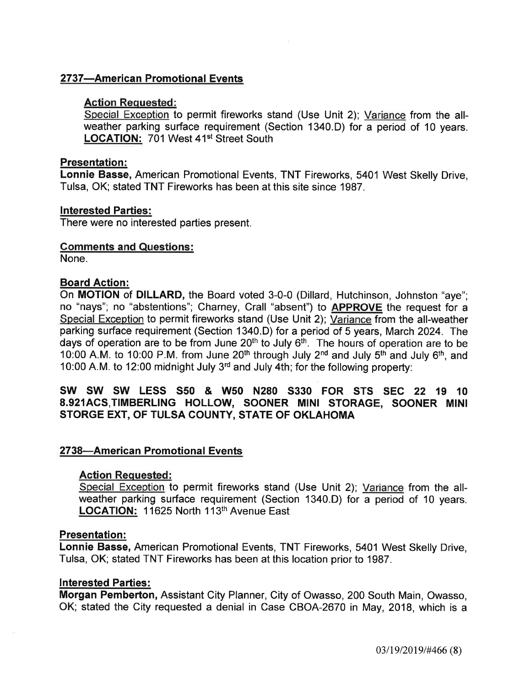# 2737-American Promotional Events

## Action Requested:

Special Exception to permit fireworks stand (Use Unit 2); Variance from the allweather parking surface requirement (Section 1340.D) for a period of 10 years. LOCATION: 701 West 41<sup>st</sup> Street South

### Presentation:

Lonnie Basse, American Promotional Events, TNT Fireworks, 5401 West Skelly Drive, Tulsa, OK; stated TNT Fireworks has been at this site since 1987.

## lnterested Parties:

There were no interested parties present

## Gomments and Questions:

None.

## Board Action:

On MOTION of DILLARD, the Board voted 3-0-0 (Dillard, Hutchinson, Johnston "aye"; no "nays"; no "abstentions"; Charney, Crall "absent") to **APPROVE** the request for a Special Exception to permit fireworks stand (Use Unit 2); Variance from the all-weather parking surface requirement (Section 1340.D) for a period of 5 years, March 2024. The days of operation are to be from June  $20<sup>th</sup>$  to July  $6<sup>th</sup>$ . The hours of operation are to be 10:00 A.M. to 10:00 P.M. from June 20<sup>th</sup> through July 2<sup>nd</sup> and July 5<sup>th</sup> and July 6<sup>th</sup>, and 10:00 A.M. to 12:00 midnight July 3'd and July 4th; for the following property:

## SW SW SW LESS S5O & WsO N28O S33O FOR STS SEC 22 19 <sup>10</sup> 8.g21ACS,TIMBERLING HOLLOW, SOONER MINI STORAGE, SOONER MINI STORGE EXT, OF TULSA COUNTY, STATE OF OKLAHOMA

## 2738-American Promotional Events

## Action Requested:

Special Exception to permit fireworks stand (Use Unit 2); Variance from the allweather parking surface requirement (Section 1340.D) for a period of 10 years. LOCATION: 11625 North 113th Avenue East

#### Presentation:

Lonnie Basse, American Promotional Events, TNT Fireworks, 5401 West Skelly Drive, Tulsa, OK; stated TNT Fireworks has been at this location prior to 1987.

## lnterested Parties:

Morgan Pemberton, Assistant City Planner, City of Owasso, 200 South Main, Owasso, OK; stated the City requested a denial in Case CBOA-2670 in May,2018, which is a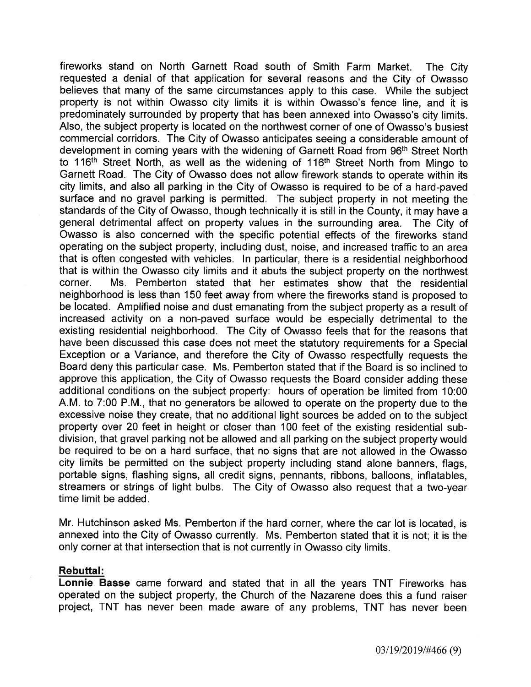fireworks stand on North Garnett Road south of Smith Farm Market. The City requested a denial of that application for several reasons and the City of Owasso believes that many of the same circumstances apply to this case. While the subject property is not within Owasso city limits it is within Owasso's fence line, and it is predominately surrounded by property that has been annexed into Owasso's city limits. Also, the subject property is located on the northwest corner of one of Owasso's busiest commercial corridors. The City of Owasso anticipates seeing a considerable amount of development in coming years with the widening of Garnett Road from g6th Street North to 116<sup>th</sup> Street North, as well as the widening of 116<sup>th</sup> Street North from Mingo to Garnett Road. The City of Owasso does not allow firework stands to operate within its city limits, and also all parking in the City of Owasso is required to be of a hard-paved surface and no gravel parking is permitted. The subject property in not meeting the standards of the City of Owasso, though technically it is still in the County, it may have a general detrimental affect on property values in the surrounding area. The City of Owasso is also concerned with the specific potential effects of the fireworks stand operating on the subject property, including dust, noise, and increased traffic to an area that is often congested with vehicles. ln particular, there is a residential neighborhood that is within the Owasso city limits and it abuts the subject property on the northwest corner. Ms. Pemberton stated that her estimates show that the residential neighborhood is less than 150 feet away from where the fireworks stand is proposed to be located. Amplified noise and dust emanating from the subject property as a result of increased activity on a non-paved surface would be especially detrimental to the existing residential neighborhood. The City of Owasso feels that for the reasons that have been discussed this case does not meet the statutory requirements for a Special Exception or a Variance, and therefore the City of Owasso respectfully requests the Board deny this particular case. Ms. Pemberton stated that if the Board is so inclined to approve this application, the City of Owasso requests the Board consider adding these additional conditions on the subject property: hours of operation be limited from 10:00 A.M. to 7:00 P.M., that no generators be allowed to operate on the property due to the excessive noise they create, that no additional light sources be added on to the subject property over 20 feet in heíght or closer than 100 feet of the existing residential subdivision, that gravel parking not be allowed and all parking on the subject property would be required to be on a hard surface, that no signs that are not allowed in the Owasso city limits be permitted on the subject property including stand alone banners, flags, portable signs, flashing signs, all credit signs, pennants, ribbons, balloons, inflatables, streamers or strings of light bulbs. The City of Owasso also request that a two-year time limit be added.

Mr. Hutchinson asked Ms. Pemberton if the hard corner, where the car lot is located, is annexed into the City of Owasso currently. Ms. Pemberton stated that it is not; it is the only corner at that intersection that is not currently in Owasso city limits.

#### Rebuttal:

Lonnie Basse came forward and stated that in all the years TNT Fireworks has operated on the subject property, the Church of the Nazarene does this a fund raiser project, TNT has never been made aware of any problems, TNT has never been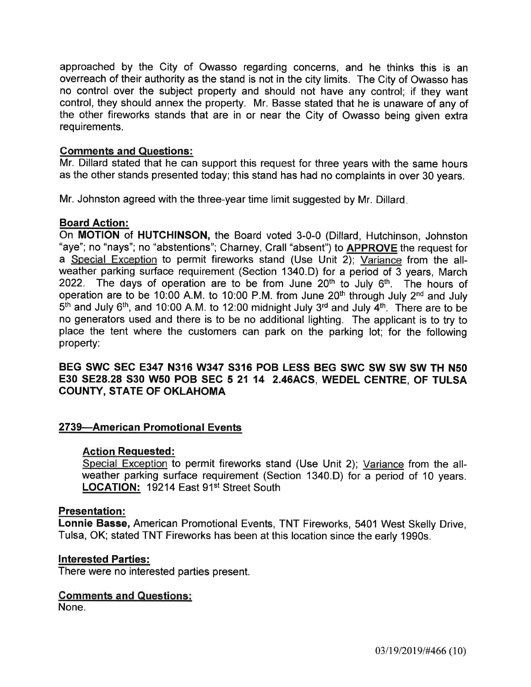approached by the City of Owasso regarding concerns, and he thinks this is an overreach of their authority as the stand is not in the city limits. The City of Owasso has no control over the subject property and should not have any control; if they want control, they should annex the property. Mr. Basse stated that he is unaware of any of the other fireworks stands that are in or near the City of Owasso being given extra requirements.

## Comments and Questions:

Mr. Dillard stated that he can support this request for three years with the same hours as the other stands presented today; this stand has had no complaints in over 30 years.

Mr. Johnston agreed with the three-year time limit suggested by Mr. Dillard

## Board Action:

On MOTION of HUTCHINSON, the Board voted 3-0-0 (Dillard, Hutchinson, Johnston "aye"; no "nays"; no "abstentions"; Charney, Crall "absent") to APPROVE the request for a Special Exception to permit fireworks stand (Use Unit 2); Variance from the allweather parking surface requirement (Section 1340.D) for a period of 3 years, March 2022. The days of operation are to be from June  $20<sup>th</sup>$  to July  $6<sup>th</sup>$ . The hours of operation are to be 10:00 A.M. to 10:00 P.M. from June 20th through July 2nd and July  $5<sup>th</sup>$  and July 6<sup>th</sup>, and 10:00 A.M. to 12:00 midnight July 3<sup>rd</sup> and July 4<sup>th</sup>. There are to be no generators used and there is to be no additional lighting. The applicant is to try to place the tent where the customers can park on the parking lot; for the following property:

## BEG SWC SEC E347 N316 W347 S316 POB LESS BEG SWC SW SW SW TH N5O E3O SE28.28 S3O WsO POB SEC 5 21 14 2.46ACS, WEDEL CENTRE, OF TULSA COUNTY, STATE OF OKLAHOMA

## 2739-American Promotional Events

## Action Requested:

Special Exception to permit fireworks stand (Use Unit 2); Variance from the allweather parking surface requirement (Section 1340.D) for a period of 10 years. LOCATION: 19214 East 91<sup>st</sup> Street South

## Presentation:

Lonnie Basse, American Promotional Events, TNT Fireworks, 5401 West Skelly Drive, Tulsa, OK; stated TNT Fireworks has been at this location since the early 1990s.

## lnterested Parties:

There were no interested parties present.

## Gomments and Questions:

None.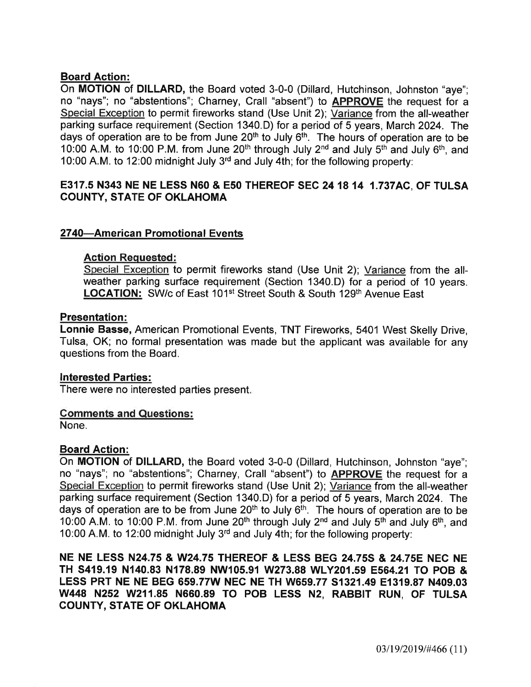# Board Action:

On MOTION of DILLARD, the Board voted 3-0-0 (Dillard, Hutchinson, Johnston "aye"; no "nays"; no "abstentions"; Charney, Crall "absent") to APPROVE the request for <sup>a</sup> Special Exception to permit fireworks stand (Use Unit 2); Variance from the alt-weather parking surface requirement (Section 1340.D) for a period of 5 years, March 2024. The days of operation are to be from June  $20<sup>th</sup>$  to July  $6<sup>th</sup>$ . The hours of operation are to be 10:00 A.M. to 10:00 P.M. from June 20<sup>th</sup> through July 2<sup>nd</sup> and July 5<sup>th</sup> and July 6<sup>th</sup>, and 10:00 A.M. to 12:00 midnight July 3'd and July 4th; for the following property:

# 8317.5 N343 NE NE LESS N6O & E5O THEREOF SEC 241814 1.737AC, OF TULSA COUNTY, STATE OF OKLAHOMA

# 2740-American Promotional Events

## Action Requested:

Special Exception to permit fireworks stand (Use Unit 2); Variance from the allweather parking surface requirement (Section 1340.D) for a period of 10 years. LOCATION: SW/c of East 101<sup>st</sup> Street South & South 129<sup>th</sup> Avenue East

## Presentation:

Lonnie Basse, American Promotional Events, TNT Fireworks, 5401 West Skelly Drive, Tulsa, OK; no formal presentation was made but the applicant was available for any questions from the Board.

## lnterested Parties:

There were no interested parties present

## Gomments and Questions:

None.

# Board Action:

On MOTION of DILLARD, the Board voted 3-0-0 (Dillard, Hutchinson, Johnston "aye"; no "nays"; no "abstentions"; Charney, Crall "absent") to **APPROVE** the request for a Special Exception to permit fireworks stand (Use Unit 2); Variance from the all-weather parking surface requirement (Section 1340.D) for a period of 5 years, March 2024. The days of operation are to be from June  $20<sup>th</sup>$  to July  $6<sup>th</sup>$ . The hours of operation are to be 10:00 A.M. to 10:00 P.M. from June  $20<sup>th</sup>$  through July  $2<sup>nd</sup>$  and July  $5<sup>th</sup>$  and July  $6<sup>th</sup>$ , and 10:00 A.M. to 12:00 midnight July 3rd and July 4th; for the following property:

NE NE LESS N24.75 & W24.75 THEREOF & LESS BEG 24.755 & 24.758 NEC NE TH S419.19 N140.83 N178.89 NW105.91 W273.88 WLy20t.59 E564.21 TO pOB & LESS PRT NE NE BEG 659.77W NEC NE TH W659.77 51321,49 E1319.87 N4O9.O3 W448 N252 W211.85 N660.89 TO POB LESS N2, RABBIT RUN, OF TULSA COUNTY, STATE OF OKLAHOMA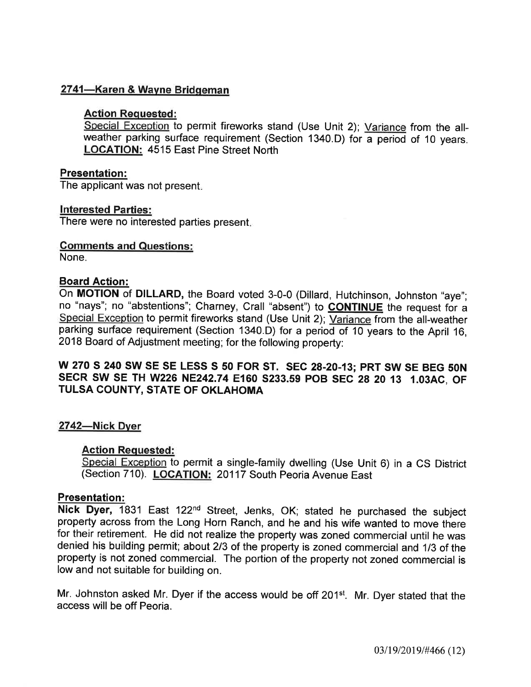# 2741-Karen & Wayne Bridgeman

# Action Requested:

Special Exception to permit fireworks stand (Use Unit 2); Variance from the allweather parking surface requirement (Section 1340.D) for a period of 10 years. LOCATION: 4515 East Pine Street North

## Presentation:

The applicant was not present

## lnterested Parties:

There were no interested parties present

# Comments and Questions:

None.

## Board Action:

On MOTION of DILLARD, the Board voted 3-0-0 (Dillard, Hutchinson, Johnston "aye"; no "nays"; no "abstentions"; Charney, Crall "absent") to **CONTINUE** the request for a Special Exception to permit fireworks stand (Use Unit 2); Variance from the all-weather parking surface requirement (Section 1340.D) for a period of 10 years to the April 16, 2018 Board of Adjustment meeting; for the following property:

# W 270 S 240 SW SE SE LESS S 50 FOR ST. SEC 28-20-13; PRT SW SE BEG 50N SECR SW SE TH W226 NE242.74 E160 S233.59 POB SEC 28 20 13 1.03AC, OF TULSA COUNTY, STATE OF OKLAHOMA

# 2742-Nick Dyer

# Action Requested:

Special Exception to permit a single-family dwelling (Use Unit 6) in a CS District (Section 710). LOGATION: 20117 South Peoria Avenue East

## Presentation:

Nick Dyer, 1831 East 122<sup>nd</sup> Street, Jenks, OK; stated he purchased the subject property across from the Long Horn Ranch, and he and his wife wanted to move there for their retirement. He did not realize the property was zoned commercial until he was denied his building permit; about 213 of the property is zoned commercial and 1/3 of the property is not zoned commercial. The portion of the property not zoned commercial is low and not suitable for building on.

Mr. Johnston asked Mr. Dyer if the access would be off 201st. Mr. Dyer stated that the access will be off Peoria.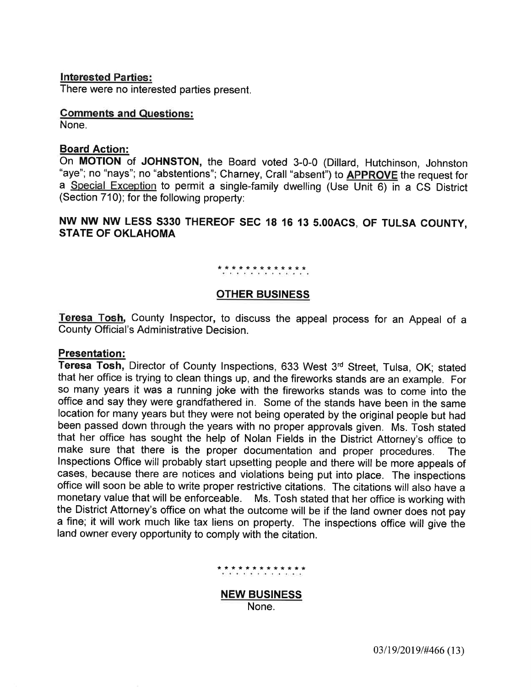#### lnterested Parties:

There were no interested parties present.

#### Gomments and Questions:

None.

#### Board Action:

On MOTION of JOHNSTON, the Board voted 3-0-0 (Dillard, Hutchinson, Johnston "aye"; no "nays"; no "abstentions"; Charney, Crall "absent") to **APPROVE** the request for a Special Exception to permit a single-family dwelling (Use Unit 6) in a CS District (Section 710); for the following property:

# NW NW NW LESS S33O THEREOF SEC 18 16 13 5.OOACS, OF TULSA COUNTY, STATE OF OKLAHOMA

## \*\*\*\*\*\*\*\*\*\*\*\*\*

#### OTHER BUSINESS

Teresa Tosh, County Inspector, to discuss the appeal process for an Appeal of a County Official's Administrative Decision.

#### Presentation:

Teresa Tosh, Director of County Inspections, 633 West 3rd Street, Tulsa, OK; stated that her office is trying to clean things up, and the fireworks stands are an example. For so many years it was a running joke with the fireworks stands was to come into the office and say they were grandfathered in. Some of the stands have been in the same location for many years but they were not being operated by the original people but had been passed down through the years with no proper approvals given. Ms. Tosh stated that her office has sought the help of Nolan Fields in the District Attorney's office to make sure that there is the proper documentation and proper procedures. Inspections Office will probably start upsetting people and there will be more appeals of cases, because there are notices and violations being put into place. The inspections office will soon be able to write proper restrictive citations. The citations will also have a monetary value that will be enforceable. Ms. Tosh stated that her office is working with the District Attorney's office on what the outcome will be if the land owner does nót pay a fine; it will work much like tax liens on property. The inspections office will give the land owner every opportunity to comply with the citation.

# \*\*\*\*\*\*\*\*\*\*\*\*\*

NEW BUSINESS None.